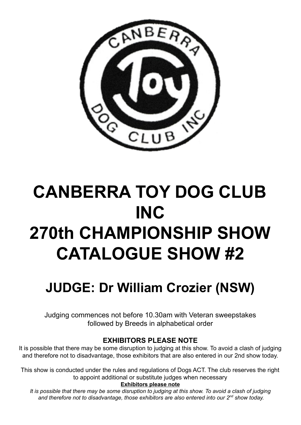

# **CANBERRA TOY DOG CLUB INC 270th CHAMPIONSHIP SHOW CATALOGUE SHOW #2**

# **JUDGE: Dr William Crozier (NSW)**

Judging commences not before 10.30am with Veteran sweepstakes followed by Breeds in alphabetical order

## **EXHIBITORS PLEASE NOTE**

It is possible that there may be some disruption to judging at this show. To avoid a clash of judging and therefore not to disadvantage, those exhibitors that are also entered in our 2nd show today.

This show is conducted under the rules and regulations of Dogs ACT. The club reserves the right to appoint additional or substitute judges when necessary

### **Exhibitors please note**

It is possible that there may be some disruption to judging at this show. To avoid a clash of judging *and therefore not to disadvantage, those exhibitors are also entered into our 2 nd show today.*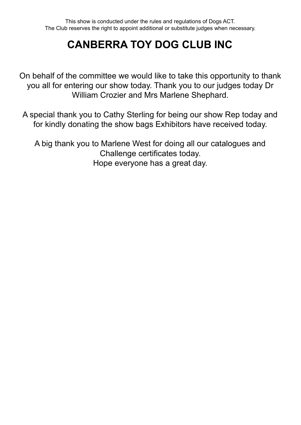# **CANBERRA TOY DOG CLUB INC**

On behalf of the committee we would like to take this opportunity to thank you all for entering our show today. Thank you to our judges today Dr William Crozier and Mrs Marlene Shephard.

A special thank you to Cathy Sterling for being our show Rep today and for kindly donating the show bags Exhibitors have received today.

A big thank you to Marlene West for doing all our catalogues and Challenge certificates today. Hope everyone has a great day.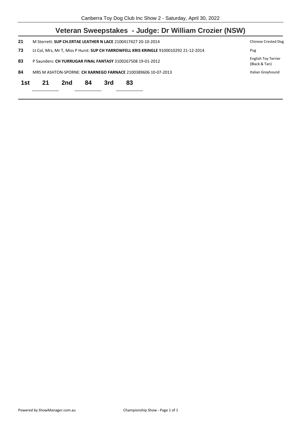| M Sterrett: SUP CH.ERTAE LEATHER N LACE 2100417427 20-10-2014                         |     |    |     |    |                                                                                                                        |  |
|---------------------------------------------------------------------------------------|-----|----|-----|----|------------------------------------------------------------------------------------------------------------------------|--|
| Lt Col, Mrs, Mr T, Miss P Hurst: SUP CH YARROWFELL KRIS KRINGLE 9100010292 21-12-2014 |     |    |     |    |                                                                                                                        |  |
| P Saunders: CH YURRUGAR FINAL FANTASY 3100267508 19-01-2012                           |     |    |     |    |                                                                                                                        |  |
|                                                                                       |     |    |     |    | Italian Greyhound                                                                                                      |  |
| 21                                                                                    | 2nd | 84 | 3rd | 83 |                                                                                                                        |  |
|                                                                                       |     |    |     |    | Veteran Sweepstakes - Judge: Dr William Crozier (NSW)<br>MRS M ASHTON-SPORNE: CH XARNEGO FARNACE 2100389606 10-07-2013 |  |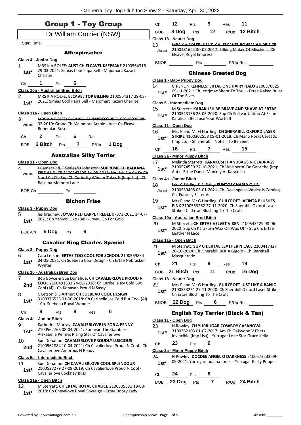| <b>Group 1 - Toy Group</b>                                                                                                      | Ch         | 12                                                                                                                | Pts 9 |                     | Res                                        | 11                                                                                                             |
|---------------------------------------------------------------------------------------------------------------------------------|------------|-------------------------------------------------------------------------------------------------------------------|-------|---------------------|--------------------------------------------|----------------------------------------------------------------------------------------------------------------|
| Dr William Crozier (NSW)                                                                                                        | <b>BOB</b> | 8 Dog $Pts$ 12                                                                                                    |       |                     |                                            | R/Up 12 Bitch                                                                                                  |
| Start Time:                                                                                                                     |            | <b>Class 18 - Neuter Dog</b>                                                                                      |       |                     |                                            |                                                                                                                |
|                                                                                                                                 | 13         |                                                                                                                   |       |                     |                                            | MRS K A ROLFE: NEUT. CH. ELCAVEL BOHEMIAN PRINCE<br>Absent 2100481624 30 07 2017: Elfking Maker Of Mischief Ch |
| <b>Affenpinscher</b>                                                                                                            |            | Elcavel Royal Empress                                                                                             |       |                     |                                            |                                                                                                                |
| Class 4 - Junior Dog                                                                                                            |            |                                                                                                                   |       |                     |                                            | BNOB Pts R/Up-Res                                                                                              |
| MRS K A ROLFE: AUST CH ELCAVEL KEEPSAKE 2100564316<br>1                                                                         |            |                                                                                                                   |       |                     |                                            |                                                                                                                |
| 29-03-2021: Simias Cool Papa Bell - Majomarc Kazari<br>$1st^*$<br>Charlize                                                      |            |                                                                                                                   |       |                     | <b>Chinese Crested Dog</b>                 |                                                                                                                |
| $\blacksquare$<br>6                                                                                                             |            | Class 1 - Baby Puppy Dog                                                                                          |       |                     |                                            |                                                                                                                |
| Pts<br>Ch<br>Class 10a - Australian Bred Bitch                                                                                  | 14         |                                                                                                                   |       |                     |                                            | CHIENON KENNELS: ERTAE ONE HAIRY HALO 2100576825                                                               |
| 2<br>MRS K A ROLFE: ELCAVEL TOP BILLING 2100564317 29-03-                                                                       |            | Of The Elves                                                                                                      |       |                     |                                            | 1st* 09-11-2021: Ch Jeorjmac Shoot To Thrill - Ertae Naked Ruler                                               |
| 2021: Simias Cool Papa Bell - Majomarc Kazari Charlize<br>$1st*$                                                                |            | Class 5 - Intermediate Dog                                                                                        |       |                     |                                            |                                                                                                                |
|                                                                                                                                 | 15         |                                                                                                                   |       |                     |                                            | M Sterrett: KARAKUSH BE BRAVE AND SHAVE AT ERTAE                                                               |
| Class 11a - Open Bitch                                                                                                          | $1st*$     |                                                                                                                   |       |                     |                                            | 2100543156 28-06-2020: Sup Ch Folkvar Ultimo At Ertae -                                                        |
| 3<br>MRS K A ROLFE: ELCAVEL IM IMPRESSIVE 2100516935 08-                                                                        |            | Karakush Because Your Worth It                                                                                    |       |                     |                                            |                                                                                                                |
| 02-2019: Grand Ch Majomarc Archie - Aust Ch Elcavel<br>Absent<br>Bohemian Rose                                                  |            | Class 11 - Open Dog                                                                                               |       |                     |                                            |                                                                                                                |
|                                                                                                                                 | 16         |                                                                                                                   |       |                     |                                            | Mrs P and Mr G Harding: CH SHERABILL OXFORD LASER                                                              |
| $2$ Pts $6$ Res<br>Ch                                                                                                           | $1st^*$    |                                                                                                                   |       |                     | (Imp Ltu) - Sh Sherabill Nohair To Be Seen | STRIKE 4100302558 09-01-2018: Ch Mano Ponis Cercado                                                            |
| 2 Bitch Pts 7 R/Up 1 Dog<br><b>BOB</b>                                                                                          |            |                                                                                                                   |       |                     |                                            |                                                                                                                |
|                                                                                                                                 | Ch         | 16                                                                                                                |       |                     | Pts 7 Res 15                               |                                                                                                                |
| <b>Australian Silky Terrier</b>                                                                                                 |            | Class 2a - Minor Puppy Bitch                                                                                      |       |                     |                                            |                                                                                                                |
| Class 11 - Open Dog<br>4                                                                                                        | 17         |                                                                                                                   |       |                     |                                            | Melinda Sterrett: KARAKUSH HANDBAGS N GLADRAGS<br>2100574559 27-10-2021: Ch Whisperin' De Gabritho (Imp        |
| J-Camac/P & T-Scales/D-Johnston: SUPREME CH BALKANA<br><b>FIRE AND ICE 3100347895 14-08-2016: No Uch Fin Ch Se Ch</b><br>Absent | $1st^*$    |                                                                                                                   |       |                     | Aut) - Ertae Dance Monkey At Karakush      |                                                                                                                |
| Nord Ch Cib Sup Ch Curiosity Winner Takes It (Imp Fin) Ch                                                                       |            | Class 4a - Junior Bitch                                                                                           |       |                     |                                            |                                                                                                                |
| Balkana Memory Lane                                                                                                             | 18         |                                                                                                                   |       |                     |                                            | Mrs C Stirling & N Raby: FUNTOSY HARLY QUIN                                                                    |
| BOB-Ch Pts                                                                                                                      | Absent     | Ch. Funtosy Sister Act                                                                                            |       |                     |                                            | 2100559498 03 01 2021: Ch. Dosangeles Valdez Is Coming                                                         |
| <b>Bichon Frise</b>                                                                                                             | 19         |                                                                                                                   |       |                     |                                            | Mrs P and Mr G Harding: GUILCROFT JACINTA BLUSHES                                                              |
| Class 3 - Puppy Dog                                                                                                             | $1st*$     |                                                                                                                   |       |                     |                                            | PINK 2100553262 27-11-2020: Ch Sherabill Oxford Laser                                                          |
| les bradney: JOYAU RED CARPET REBEL 07373-2021 14-07-<br>5                                                                      |            |                                                                                                                   |       |                     | Strike - Ch Ertae Blushing To The Croft    |                                                                                                                |
| 2021: Ch Yanivol Eiko (Bel) - Joyau Go For Gold<br>$1st*$                                                                       |            | Class 10a - Australian Bred Bitch                                                                                 |       |                     |                                            |                                                                                                                |
|                                                                                                                                 |            | M Sterrett: CH ERTAE VELVET VIXEN 2100543129 08-06-<br>20<br>2020: Sup Ch Karakush Wax On Wax Off - Sup Ch. Ertae |       |                     |                                            |                                                                                                                |
| $5$ Dog $P$ ts 6<br>BOB-Ch                                                                                                      | $1st*$     | Leather N Lace                                                                                                    |       |                     |                                            |                                                                                                                |
| <b>Cavalier King Charles Spaniel</b>                                                                                            |            | Class 11a - Open Bitch                                                                                            |       |                     |                                            |                                                                                                                |
|                                                                                                                                 | 21         |                                                                                                                   |       |                     |                                            | M Sterrett: SUP CH.ERTAE LEATHER N LACE 2100417427                                                             |
| Class 3 - Puppy Dog<br>6<br>Cara Letson: ERTAE TOO COOL FOR SCHOOL 2100569854                                                   | $1st*$     |                                                                                                                   |       |                     |                                            | 20-10-2014: Ch. Sherabill Just A Gigolo - Ch. Bareitall                                                        |
| 04-05-2021: Ch Suebeau Cool Design - Ch Ertae Nebrasken                                                                         |            | Masquerade                                                                                                        |       |                     |                                            |                                                                                                                |
| $1st*$<br>Wynter                                                                                                                | Ch         | 21                                                                                                                | Pts   | 9                   | Res                                        | 19                                                                                                             |
| Class 10 - Australian Bred Dog                                                                                                  |            | BOB 21 Bitch Pts                                                                                                  |       | 11                  | R/Up                                       | 16 Dog                                                                                                         |
| Bob Boyce & Sue Donahue: CH CAVALIERLOVE PROUD N<br>7                                                                           |            | Class 18 - Neuter Dog                                                                                             |       |                     |                                            |                                                                                                                |
| COOL 2100491333 24-01-2018: Ch Caribelle Icy Cold But<br>2nd                                                                    | 22         |                                                                                                                   |       |                     |                                            | Mrs P and Mr G Harding: GUILCROFT JUST LIKE A BANJO                                                            |
| Cool (Ai) - Ch Konavan Proud N Sassy<br>8<br>C Letson & S Arthur: CH SUEBEAU COOL DESIGN                                        | $1st*$     |                                                                                                                   |       |                     |                                            | 2100553261 27-11-2020: Ch Sherabill Oxford Laser Strike -                                                      |
| 3100376526 01-06-2018: Ch Caribelle Ice Cold But Cool (Ai)                                                                      |            | Ch Ertae Blushing To The Croft                                                                                    |       |                     |                                            |                                                                                                                |
| $1st*$<br>- Ch. Suebeau Royal Wonder                                                                                            |            | BNOB 22 Dog Pts 6                                                                                                 |       |                     |                                            | R/Up-Res                                                                                                       |
| 8<br>6<br>8<br>Res<br>Ch<br>Pts                                                                                                 |            |                                                                                                                   |       |                     |                                            | <b>English Toy Terrier (Black &amp; Tan)</b>                                                                   |
| Class 4a - Junior Bitch                                                                                                         |            |                                                                                                                   |       |                     |                                            |                                                                                                                |
| 9<br>Katherine Murray: CAVALIERLOVE IN FOR A PENNY                                                                              | 23         | Class 11 - Open Dog                                                                                               |       |                     |                                            | N Rowley: CH YURRUGAR COWBOY CASANOVA                                                                          |
| 2100562766 08-04-2021: Konovan The Gambler -<br>$1st*$<br>Alexabelle Pennys Rising Star Of Cavalierlove                         | $1st*$     |                                                                                                                   |       |                     |                                            | 3100362103 01-07-2017: Am Ch Oakwood V Ebets                                                                   |
| 10<br>Sue Donahue: CAVALIERLOVE PROUDLY LUSCIOUS                                                                                |            |                                                                                                                   |       |                     |                                            | Invincible (Imp Usa) - Yurrugar Lone Star Grace Kelly                                                          |
| 2100562884 10-04-2021: Ch Cavalierlove Proud N Cool - Ch<br>2nd                                                                 | Ch         | 23                                                                                                                | Pts   | 6                   |                                            |                                                                                                                |
| Cavalierlove Amorous N Ready                                                                                                    |            | Class 2a - Minor Puppy Bitch                                                                                      |       |                     |                                            |                                                                                                                |
|                                                                                                                                 | 24         |                                                                                                                   |       |                     |                                            | N Rowley: DOCDEE ANGEL O DARKNESS 2100572233 09-                                                               |
|                                                                                                                                 |            |                                                                                                                   |       |                     |                                            |                                                                                                                |
| Sue Donahue: CH CAVALIERLOVE COOL SPLENDOUR                                                                                     | $1st*$     |                                                                                                                   |       |                     |                                            | 09-2021: Yurrugar Indiana Jones - Yurrugar Party Popper                                                        |
| 2100527279 27-09-2019: Ch Cavalierlove Proud N Cool -<br>$1st*$                                                                 |            |                                                                                                                   |       |                     |                                            |                                                                                                                |
| Class 5a - Intermediate Bitch<br>11<br>Cavalierlove Cockney Bliss<br>Class 11a - Open Bitch                                     | Сh         | 24                                                                                                                | Pts   | 6<br>$\overline{7}$ |                                            | R/Up 24 Bitch                                                                                                  |

2018: Ch Chevalove Royal Sovreign - Ertae Boozy Lady **1st\***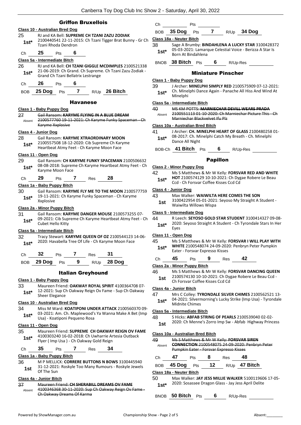#### Griffon Bruxellois

#### **Class 10 - Australian Bred Dog** 25 RJ and KA Bell: **SUPREME CH TZANI ZAZU ZODIAK** 2100440541 22-11-2015: Ch Tzani Tigger Brat Bunny - Gr Ch Tzani Rhoda Dendron **1st\*** Ch **25** Pts **6 Class 5a - Intermediate Bitch** 26 RJ and KA Bell: **CH TZANI GIGGLE MCDIMPLES** 2100521338 21-06-2019: Ch Grand. Ch Supreme. Ch Tzani Zazu Zodiak - Grand Ch Tzani Bellatrix Lestrange **1st\*** Ch **26** Pts **6** BOB **25 Dog** Pts **7** R/Up **26 Bitch** Havanese **Class 1 - Baby Puppy Dog** 27 Gail Ransom: **KARYME FLYING IN A BLUE DREAM** 2100577760 19-11-2021: Ch Karyme Funky Spaceman - Ch Karyme Xxplosive Absent **Class 4 - Junior Dog** 28 Gail Ransom: **KARYME XTRAORDINARY MOON** 2100557508 18-12-2020: Cib Supreme Ch Karyme Heartbeat Atmy Feet - Ch Karyme Moon Face **1st\* Class 11 - Open Dog** 29 Gail Ransom: **CH KARYME FUNKY SPACEMAN** 2100506632 08-08-2018: Supreme Ch Karyme Heartbeat Atmy Feet - Ch **1st**\* U8-08-2018: Supren<br>Karyme Moon Face Ch **29** Pts **7** Res **28 Class 1a - Baby Puppy Bitch** 30 Gail Ransom: **KARYME FLY ME TO THE MOON** 2100577759 19-11-2021: Ch Karyme Funky Spaceman - Ch Karyme **1st**<sup>\*</sup> **19-11-20**<br>Xxplosive **Class 2a - Minor Puppy Bitch** 31 Gail Ransom: **KARYME DANGER MOUSE** 2100573255 07- 09-2021: Cib Supreme Ch Karyme Heartbeat Atmy Feet - Ch **1st**\* UP-2021. Cubet Hello Kitty **Class 5a - Intermediate Bitch** 32 Tracy Stewart: **KARYME QUEEN OF OZ** 2100544123 14-06- 1st\* 2020: Havabella Tree Of Life - Ch Karyme Moon Face Ch **32** Pts **7** Res **31** BOB **29 Dog** Pts **9** R/Up **28 Dog** Italian Greyhound **Class 1 - Baby Puppy Dog** 33 Maureen Friend: **OAKWAY ROYAL SPIRIT** 4100364708 07- 12-2021: Sup Ch Oakway Reign Ov Fame - Sup Ch Oakway **1st**\* **14-2021:** Sheer Elegance **Class 10 - Australian Bred Dog** 34 Miss M Ward: **KOATIPONI UNDER ATTACK** 2100560370 09- 03-2021: Am. Ch. Maplewood's Ya Wanna Make A Bet (Imp **1st** USE-2021: Am. Ch. Maplewood s<br>Usa) - Koatiponi Pequeno Rosa **Class 11 - Open Dog** 35 Maureen Friend: **SUPREME CH OAKWAY REIGN OV FAME** 4100303240 16-02-2018: Ch Uwharrie Artesia Outback Flyer ( Imp Usa ) - Ch Oakway Gold Reign **1st\*** Ch **35** Pts **7** Res **34 Class 1a - Baby Puppy Bitch**

36 M P MELLICK: **CORRERE BUTTONS N BOWS** 3100445940 31-12-2021: Roskyle Too Many Rumours - Roskyle Jewels **1st 1st 1st 1st 1st Of The Sun** 

#### **Class 4a - Junior Bitch**

37 Maureen Friend: **CH SHERABILL DREAMS OV FAME** 4100346368 30-11-2020: Sup Ch Oakway Reign Ov Fame - Ch Oakway Dreams Of Karma Absent

#### Ch Pts BOB **35 Dog** Pts **7** R/Up **34 Dog Class 18a - Neuter Bitch** 38 Sage A Brumby: **BINDAHLENA A LUCKY STAR** 3100428372 05-03-2021: Lamarque Celestial Voice - Berizza A Star Is **1st**\* US-US-2021: Lamard<br>Born At Bindahlena BNOB **38 Bitch** Pts **6** R/Up-Res Miniature Pinscher **Class 1 - Baby Puppy Dog** 39 J Archer: **MINELPHI SIMPLY RED** 2100575909 07-12-2021: Ch. Minelphi Dance Again - Panache All Hiss And Wind At **1st**\* Ch. Mine **Class 5a - Intermediate Bitch** 40 MS KM POTTS: **MARNIECHAR DEVILL WEARS PRADA** 2100551113 01-10-2020: Ch Marniechar Picture This Marniechar Blackvelvet Ifu Plz Absent **Class 10a - Australian Bred Bitch** 41 J Archer: **CH. MINELPHI HEART OF GLASS** 2100480258 01- 08-2017: Ch. Minelphi Catch My Breath - Ch. Minelphi 1st<sup>\*</sup> D8-2017: Cn. Mill<br>Dance All Night BOB-Ch **41 Bitch** Pts **6** R/Up-Res Papillon **Class 2 - Minor Puppy Dog** 42 Ms S Matthews & Mr W Kelly: **FORSVAR RED AND WHITE**

**HOT** 2100574129 10-10-2021: Ch Dygae Robere Le Beau **1st\*** HOT 2100574129 10-10-2021: Ch Dyg<br>Ccd - Ch Forsvar Coffee Kisses Ccd Cd

#### **Class 4 - Junior Dog**

| 43              | Max Walker: WAIWILTA HERE COMES THE SON               |
|-----------------|-------------------------------------------------------|
| 1 <sub>cf</sub> | 3100422954 05-01-2021: Seyoso My Straight A Student - |

| 1st | 3100422954 05-01-2021: Seyoso My Straight A Student - |
|-----|-------------------------------------------------------|
|     | Waiwilta Willows Wispa                                |
|     |                                                       |

#### **Class 5 - Intermediate Dog**

44 R Leech: **SEYOSO GOLD STAR STUDENT** 3100414327 09-08- 2020: Seyoso Straight A Student - Ch Tyrondale Stars In Her **1st**<sup>\*</sup>  $\frac{2020}{\text{Eyes}}$ 

#### **Class 11 - Open Dog**

| 45     | Ms S Matthews & Mr W Kelly: FORSVAR I WILL PLAY WITH |
|--------|------------------------------------------------------|
| $1st*$ | WHITE 2100548074 24-09-2020: Penbryn Peter Pumpkin   |
|        | Eater - Forsvar Expresso Kisses                      |

Ch **45** Pts **9** Res **42**

#### **Class 2a - Minor Puppy Bitch**

- 46 Ms S Matthews & Mr W Kelly: **FORSVAR DANCING QUEEN** 2100574130 10-10-2021: Ch Dygae Robere Le Beau Ccd -
	- **1st** 2100574130 10-10-2021: Ch Dy

#### **Class 4a - Junior Bitch**

47 Mrs C Colley: **TYRONDALE SILVER CHIMES** 2100562521 13- **1st**\* 04-2021: Silvermorning's Lucky Strike (Imp Usa) - Tyrondale Midnite Chimes

#### **Class 5a - Intermediate Bitch**

- 48 S Hicks: **ABFAB STRING OF PEARLS** 2100539040 02-02-
	- 2020: Ch Menne's Zorro Imp Sw Abfab Highway Princess **1st**

#### **Class 10a - Australian Bred Bitch**

| 49<br>Absent |                          | Ms S Matthews & Mr W Kelly: FORSVAR SIREN<br><b>CONNECTION</b> 2100548075 24-09-2020: Penbryn Peter<br><b>Pumpkin Eater - Forsvar Expresso Kisses</b> |    |      |                                                      |  |  |  |
|--------------|--------------------------|-------------------------------------------------------------------------------------------------------------------------------------------------------|----|------|------------------------------------------------------|--|--|--|
| Сh           | 47                       | Pts                                                                                                                                                   |    | Res  | 48                                                   |  |  |  |
| <b>BOB</b>   | 45 Dog                   | Pts                                                                                                                                                   | 12 | R/Up | 47 Bitch                                             |  |  |  |
|              | Class 18a - Neuter Bitch |                                                                                                                                                       |    |      |                                                      |  |  |  |
| 50           |                          |                                                                                                                                                       |    |      | Max Walker: JAY JESS MILLIE WALKER 5100119606 17-05- |  |  |  |

- 2020: Sosassee Dragon Glass Jay Jess April Delite **1st\***
- BNOB **50 Bitch** Pts **6** R/Up-Res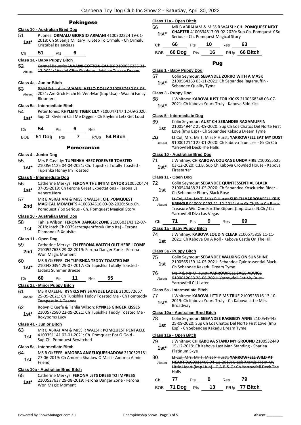#### Pekingese

#### **Class 10 - Australian Bred Dog**

51 P Jones: **ORMALU GIORGIO ARMANI** 4100302224 19-01- 2018: Ch St Sanja Military Tu Step To Ormalu - Ch Ormalu **1st**\* <sup>2018: Ch St Sanja M<br>Cristabal Balenciaga</sup>

Ch **51** Pts **6**

#### **Class 1a - Baby Puppy Bitch**

52 Carmel Bauerle: **WAAINI COTTON CANDY** 2100056235 31- -<br><sub>Absent</sub> - <del>12-2021: Waaini Gifta Shadows - Weilen Tuscan Dream</del>

#### **Class 4a - Junior Bitch**

53 P&M Schaufler: **WAAINI HELLO DOLLY** 2100567450 08-06- 2021: Am Grch Fuchi Eli Ven-Mar (Imp Usa) - Waaini Fancy **Bloomers** Absent

#### **Class 5a - Intermediate Bitch**

54 Peter Jones: **KHYLEINI TIGER LILY** 7100047147 12-09-2020: 1st\* Sup Ch Khyleini Call Me Digger - Ch Khyleini Letz Get Loud

| Ch | -54 | Pts | -6 | Res |  |
|----|-----|-----|----|-----|--|

| BOB 51 Dog Pts |  | R/Up 54 <b>Bitch</b> |
|----------------|--|----------------------|
|                |  |                      |

#### Pomeranian

#### **Class 4 - Junior Dog**

55 Mrs P Cassidy: **TUPISHKA HEEZ FOREVER TOASTED** 2100561125 04-04-2021: Ch. Tupishka Totally Toasted - Tupishka Honey Im Toasted **1st\***

#### **Class 5 - Intermediate Dog**

- 56 Catherine Merkys: **FERONA THE INTIMIDATOR** 2100520474 07-05-2019: Ch Ferona Great Expectations - Ferona La Venere Nera **1st\***
- 57 MR B ABRAHAM & MISS R WALSH: **CH. POMQUEST MAGICAL MOMENTS** 4100334516 09-02-2020: Sup.Ch. 2nd **MAGICAL MUMENTS** 4100334516 09-02-2020: Sup.com

#### **Class 10 - Australian Bred Dog**

58 Tahlia Wilson: **FERONA DANGER ZONE** 2100503143 12-07- 2018: Intch Ch 007Secretagentforuk (Imp Ita) - Ferona **1st** <sup>2018:</sup> Inten Ch 0075e<br>Diamonds R Xquisite

#### **Class 11 - Open Dog**

- 59 Catherine Merkys: **CH FERONA WATCH OUT HERE I COME** 2100527635 29-08-2019: Ferona Danger Zone - Ferona Won Magic Moment **2nd** 60 MS R OKEEFE: **CH TUPISHKA TEDDY TOASTED ME**
- 2100480394 29-07-2017: Ch Tupishka Totally Toasted Jadanz Summer Breeze **1st\***

#### Ch **60** Pts **11** Res **55**

#### **Class 2a - Minor Puppy Bitch**

61 MS R OKEEFE: **RYNKLS MY SHAYDEE LADEE** 2100572657 25-09-2021: Ch Tupishka Teddy Toasted Me - Ch Pomteddy Tempest In A Teapot Absent 62 Robyn OKeefe & Tahlia Wilson: **RYNKLS GINGER KISSES** 2100572580 22-09-2021: Ch Tupishka Teddy Toasted Me - Roxypoms Lucy **1st\* Class 4a - Junior Bitch** 63 MR B ABRAHAM & MISS R WALSH: **POMQUEST PENTACLE** 4100351141 02-01-2021: Ch. Pomquest Pot O Gold - **1st** <sup>4100351141 02-01-2021: Cn.<br>Sup.Ch. Pomquest Bewitched</sup>

#### **Class 5a - Intermediate Bitch**

64 MS R OKEEFE: **AMOREA ANGELIQUESHADOW** 2100523181 27-06-2019: Ch Amorea Shadow O Malli - Amorea Aimie 1st <sup>27-00-</sup><br>Friend

#### **Class 10a - Australian Bred Bitch**

65 Catherine Merkys: **FERONA LETS DRESS TO IMPRESS** 2100527637 29-08-2019: Ferona Danger Zone - Ferona Won Magic Moment **1st\***

#### **Class 11a - Open Bitch**

66 MR B ABRAHAM & MISS R WALSH: **CH. POMQUEST NEXT CHAPTER** 4100334517 09-02-2020: Sup.Ch. Pomquest Y So **Serious - Ch. Pomquest Magical Story Serious - Ch. Pomquest Magical Story** 

| Ch | 66 Pts 10 |  | $Res$ 63 |                                 |
|----|-----------|--|----------|---------------------------------|
|    |           |  |          | BOB 60 Dog Pts 16 R/Up 66 Bitch |

#### Pug

#### **Class 1 - Baby Puppy Dog**

- 67 Colin Seymour: **SEBANDEE ZORRO WITH A MASK**
	- 2100564363 03-11-2021: Ch Sebandee Ragamuffin Sebandee Quality Tyme **1st\***

#### **Class 3 - Puppy Dog**

- 68 J Whitney: **KABOVA JUST FOR KICKS** 2100568348 03-07-
- 2021: Ch Kabova Yours Truly Kabova Side Kick **1st\***

#### **Class 5 - Intermediate Dog**

#### 69 Colin Seymour: **AUST CH SEBANDEE RAGAMUFFIN**

- 2100549442 25-09-2020: Sup Ch Los Chatos Del Norte First Love (Imp Esp) - Ch Sebandee Kakadu Dream Tyme **1st**
- 70 Lt Col, Mrs, Mr T, Miss P Hurst: **YARROWFELL EAT MY DUST** 9100012140 22-01-2020: Ch Kabova True Lies - Gr Ch Cib
- Yarrowfell Deck The Halls Absent

#### **Class 10 - Australian Bred Dog**

71 J Whitney: **CH KABOVA COURAGE UNDA FIRE** 2100555525 03-12-2020: C.I.B. Sup Ch Kabova Crowded House - Kabova Firestarter **1st\***

#### **Class 11 - Open Dog**

| 72 | Colin Seymour: SEBANDEE QUINTESSENTIAL BLACK |
|----|----------------------------------------------|
|----|----------------------------------------------|

- 2100540468 21-05-2020: Ch Sebandee Kosciuszko Rider **1st** 2100540468 21-05-2020: Ch Sebandee Ebony Black Rose
- 73 Lt Col, Mrs, Mr T, Miss P Hurst: **SUP CH YARROWFELL KRIS KRINGLE** 9100010292 21-12-2014: Am Gr Ch/Sup Ch Rose-Treasure Win One For The Gipper (Imp Usa) - N.Ch / Ch Yarrowfell Diva Las Vegas Absent

#### Ch **71** Pts **9** Res **69**

#### **Class 1a - Baby Puppy Bitch**

- 74 J Whitney: **KABOVA LOUD N CLEAR** 2100575818 11-11-
	- 1st 2021: Ch Kabova On A Roll Kabova Castle On The Hill

#### **Class 3a - Puppy Bitch**

- 75 Colin Seymour: **SEBANDEE WALKING ON SUNSHINE**
- 2100565159 14-05-2021: Sebandee Quintessential Black 1st 2100565159 14-05-2021: Sebande<br>Ch Sebandee Kakadu Dream Tyme
- 76 Ms P & Mr M Hurst: **YARROWFELL SAGE ADVICE**
	- 9100012633 28-06-2021: Yarrowfell Eat My Dust Yarrowfell C U Later Absent

#### **Class 5a - Intermediate Bitch**

77 J Whitney: **KABOVA LITTLE MS TRUE** 2100528316 13-10- 2019: Ch Kabova Yours Truly - Ch Kabova Little Miss

1st<sup>\*</sup> <sup>2019: Ch K</sup><br>Broadway

#### **Class 10a - Australian Bred Bitch**

78 Colin Seymour: **SEBANDEE RAGGEDY ANNE** 2100549445 25-09-2020: Sup Ch Los Chatos Del Norte First Love (Imp Esp) - Ch Sebandee Kakadu Dream Tyme **1st**

#### **Class 11a - Open Bitch**

- 79 J Whitney: **CH KABOVA STAND MY GROUND** 2100532449 15-12-2019: Ch Kabova Last Man Standing - Sharlea 1st<sup>\*</sup> <sup>15-12-2019: U<br>Platinum Skye</sup>
- 80 Lt Col, Mrs, Mr T, Miss P Hurst: **YARROWFELL WILD AT HEART** 9100011406 04-11-2017: Black Aramis From My
	- Little Heart (Imp Hun) C.A.B & Gr Ch Yarrowfell Deck The Halls Absent

| Ch $77$ | <b>Pts</b> | 9 <sub>Res</sub> 79 |                                 |
|---------|------------|---------------------|---------------------------------|
|         |            |                     | BOB 71 Dog Pts 13 R/Up 77 Bitch |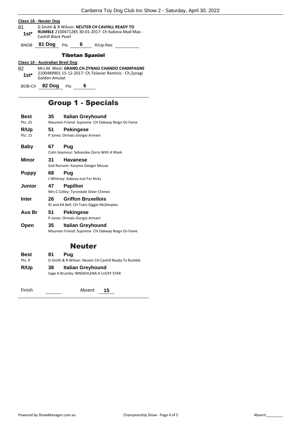|              | Class 18 - Neuter Dog                                                                                                             |                        |   |                                                                                                           |  |  |
|--------------|-----------------------------------------------------------------------------------------------------------------------------------|------------------------|---|-----------------------------------------------------------------------------------------------------------|--|--|
| 81<br>$1st*$ | G Smith & R Wilson: NEUTER CH CAVHILL READY TO<br><b>RUMBLE 2100471285 30-01-2017: Ch Kabova Mad Max -</b><br>Cavhill Black Pearl |                        |   |                                                                                                           |  |  |
| <b>BNOB</b>  | <b>81 Dog</b> Pts 6                                                                                                               |                        |   | R/Up-Res                                                                                                  |  |  |
|              |                                                                                                                                   | <b>Tibetan Spaniel</b> |   |                                                                                                           |  |  |
|              | Class 10 - Australian Bred Dog                                                                                                    |                        |   |                                                                                                           |  |  |
| 82<br>$1st*$ | Golden Amulat                                                                                                                     |                        |   | Mrs.M. West: GRAND.CH.ZYNAGI CHANDO CHAMPAGNE<br>2100489901 15-12-2017: Ch. Telavier Reminis - Ch. Zynagi |  |  |
| BOB-Ch       | 82 Dog Pts                                                                                                                        |                        | 6 |                                                                                                           |  |  |
|              |                                                                                                                                   |                        |   |                                                                                                           |  |  |

### Group 1 - Specials

| Best          | 35                                                    | Italian Greyhound                               |  |
|---------------|-------------------------------------------------------|-------------------------------------------------|--|
| Pts: 25       |                                                       | Maureen Friend: Supreme CH Oakway Reign Ov Fame |  |
| R/Up          | 51                                                    | <b>Pekingese</b>                                |  |
| Pts: 15       |                                                       | P Jones: Ormalu Giorgio Armani                  |  |
| <b>Baby</b>   | 67                                                    | Pug                                             |  |
|               | Colin Seymour: Sebandee Zorro With A Mask             |                                                 |  |
| Minor         | 31                                                    | <b>Havanese</b>                                 |  |
|               |                                                       | Gail Ransom: Karyme Danger Mouse                |  |
| <b>Puppy</b>  | 68                                                    | Pug                                             |  |
|               |                                                       | J Whitney: Kabova Just For Kicks                |  |
| <b>Junior</b> | 47                                                    | <b>Papillon</b>                                 |  |
|               |                                                       | Mrs C Colley: Tyrondale Silver Chimes           |  |
| <b>Inter</b>  | 26                                                    | <b>Griffon Bruxellois</b>                       |  |
|               |                                                       | RJ and KA Bell: CH Tzani Giggle McDimples       |  |
| Aus Br        | 51                                                    | <b>Pekingese</b>                                |  |
|               |                                                       | P Jones: Ormalu Giorgio Armani                  |  |
| Open          | 35                                                    | <b>Italian Greyhound</b>                        |  |
|               |                                                       | Maureen Friend: Supreme CH Oakway Reign Ov Fame |  |
|               |                                                       | <b>Neuter</b>                                   |  |
| <b>Best</b>   | 81                                                    | Pug                                             |  |
| Pts: 9        | G Smith & R Wilson: Neuter CH Cavhill Ready To Rumble |                                                 |  |
| R/Up          | 38                                                    | <b>Italian Greyhound</b>                        |  |
|               |                                                       |                                                 |  |

Sage A Brumby: BINDAHLENA A LUCKY STAR

Finish Absent **15**